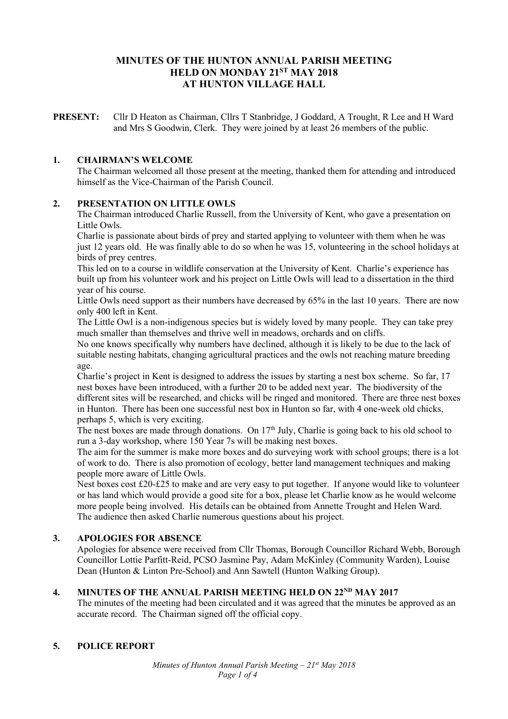# **MINUTES OF THE HUNTON ANNUAL PARISH MEETING HELD ON MONDAY 21ST MAY 2018 AT HUNTON VILLAGE HALL**

**PRESENT:** Cllr D Heaton as Chairman, Cllrs T Stanbridge, J Goddard, A Trought, R Lee and H Ward and Mrs S Goodwin, Clerk. They were joined by at least 26 members of the public.

#### **1. CHAIRMAN'S WELCOME**

The Chairman welcomed all those present at the meeting, thanked them for attending and introduced himself as the Vice-Chairman of the Parish Council.

#### **2. PRESENTATION ON LITTLE OWLS**

The Chairman introduced Charlie Russell, from the University of Kent, who gave a presentation on Little Owls.

Charlie is passionate about birds of prey and started applying to volunteer with them when he was just 12 years old. He was finally able to do so when he was 15, volunteering in the school holidays at birds of prey centres.

This led on to a course in wildlife conservation at the University of Kent. Charlie's experience has built up from his volunteer work and his project on Little Owls will lead to a dissertation in the third year of his course.

Little Owls need support as their numbers have decreased by 65% in the last 10 years. There are now only 400 left in Kent.

The Little Owl is a non-indigenous species but is widely loved by many people. They can take prey much smaller than themselves and thrive well in meadows, orchards and on cliffs.

No one knows specifically why numbers have declined, although it is likely to be due to the lack of suitable nesting habitats, changing agricultural practices and the owls not reaching mature breeding age.

Charlie's project in Kent is designed to address the issues by starting a nest box scheme. So far, 17 nest boxes have been introduced, with a further 20 to be added next year. The biodiversity of the different sites will be researched, and chicks will be ringed and monitored. There are three nest boxes in Hunton. There has been one successful nest box in Hunton so far, with 4 one-week old chicks, perhaps 5, which is very exciting.

The nest boxes are made through donations. On  $17<sup>th</sup>$  July, Charlie is going back to his old school to run a 3-day workshop, where 150 Year 7s will be making nest boxes.

The aim for the summer is make more boxes and do surveying work with school groups; there is a lot of work to do. There is also promotion of ecology, better land management techniques and making people more aware of Little Owls.

Nest boxes cost £20-£25 to make and are very easy to put together. If anyone would like to volunteer or has land which would provide a good site for a box, please let Charlie know as he would welcome more people being involved. His details can be obtained from Annette Trought and Helen Ward. The audience then asked Charlie numerous questions about his project.

#### **3. APOLOGIES FOR ABSENCE**

Apologies for absence were received from Cllr Thomas, Borough Councillor Richard Webb, Borough Councillor Lottie Parfitt-Reid, PCSO Jasmine Pay, Adam McKinley (Community Warden), Louise Dean (Hunton & Linton Pre-School) and Ann Sawtell (Hunton Walking Group).

#### **4. MINUTES OF THE ANNUAL PARISH MEETING HELD ON 22ND MAY 2017**

The minutes of the meeting had been circulated and it was agreed that the minutes be approved as an accurate record. The Chairman signed off the official copy.

#### **5. POLICE REPORT**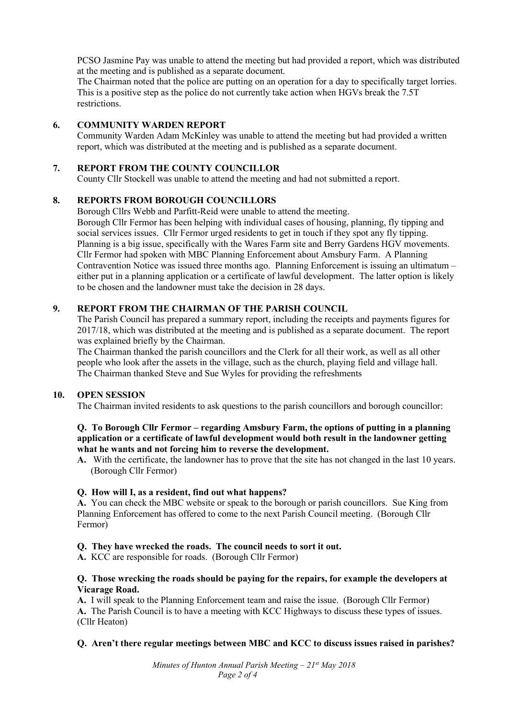PCSO Jasmine Pay was unable to attend the meeting but had provided a report, which was distributed at the meeting and is published as a separate document.

The Chairman noted that the police are putting on an operation for a day to specifically target lorries. This is a positive step as the police do not currently take action when HGVs break the 7.5T restrictions.

#### **6. COMMUNITY WARDEN REPORT**

Community Warden Adam McKinley was unable to attend the meeting but had provided a written report, which was distributed at the meeting and is published as a separate document.

#### **7. REPORT FROM THE COUNTY COUNCILLOR**

County Cllr Stockell was unable to attend the meeting and had not submitted a report.

#### **8. REPORTS FROM BOROUGH COUNCILLORS**

Borough Cllrs Webb and Parfitt-Reid were unable to attend the meeting. Borough Cllr Fermor has been helping with individual cases of housing, planning, fly tipping and social services issues. Cllr Fermor urged residents to get in touch if they spot any fly tipping. Planning is a big issue, specifically with the Wares Farm site and Berry Gardens HGV movements. Cllr Fermor had spoken with MBC Planning Enforcement about Amsbury Farm. A Planning Contravention Notice was issued three months ago. Planning Enforcement is issuing an ultimatum – either put in a planning application or a certificate of lawful development. The latter option is likely to be chosen and the landowner must take the decision in 28 days.

#### **9. REPORT FROM THE CHAIRMAN OF THE PARISH COUNCIL**

The Parish Council has prepared a summary report, including the receipts and payments figures for 2017/18, which was distributed at the meeting and is published as a separate document. The report was explained briefly by the Chairman.

The Chairman thanked the parish councillors and the Clerk for all their work, as well as all other people who look after the assets in the village, such as the church, playing field and village hall. The Chairman thanked Steve and Sue Wyles for providing the refreshments

#### **10. OPEN SESSION**

The Chairman invited residents to ask questions to the parish councillors and borough councillor:

### **Q. To Borough Cllr Fermor – regarding Amsbury Farm, the options of putting in a planning application or a certificate of lawful development would both result in the landowner getting what he wants and not forcing him to reverse the development.**

**A.** With the certificate, the landowner has to prove that the site has not changed in the last 10 years. (Borough Cllr Fermor)

### **Q. How will I, as a resident, find out what happens?**

**A.** You can check the MBC website or speak to the borough or parish councillors. Sue King from Planning Enforcement has offered to come to the next Parish Council meeting. (Borough Cllr Fermor)

### **Q. They have wrecked the roads. The council needs to sort it out.**

**A.** KCC are responsible for roads. (Borough Cllr Fermor)

### **Q. Those wrecking the roads should be paying for the repairs, for example the developers at Vicarage Road.**

**A.** I will speak to the Planning Enforcement team and raise the issue. (Borough Cllr Fermor) **A.** The Parish Council is to have a meeting with KCC Highways to discuss these types of issues. (Cllr Heaton)

### **Q. Aren't there regular meetings between MBC and KCC to discuss issues raised in parishes?**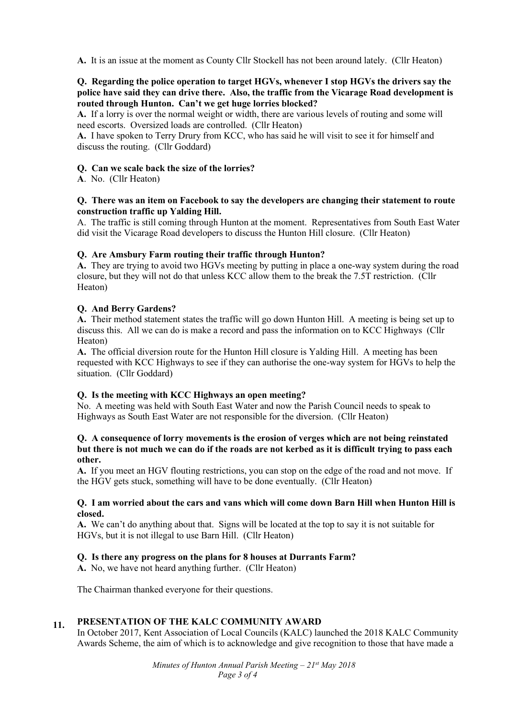**A.** It is an issue at the moment as County Cllr Stockell has not been around lately. (Cllr Heaton)

## **Q. Regarding the police operation to target HGVs, whenever I stop HGVs the drivers say the police have said they can drive there. Also, the traffic from the Vicarage Road development is routed through Hunton. Can't we get huge lorries blocked?**

**A.** If a lorry is over the normal weight or width, there are various levels of routing and some will need escorts. Oversized loads are controlled. (Cllr Heaton)

**A.** I have spoken to Terry Drury from KCC, who has said he will visit to see it for himself and discuss the routing. (Cllr Goddard)

### **Q. Can we scale back the size of the lorries?**

**A**. No. (Cllr Heaton)

### **Q. There was an item on Facebook to say the developers are changing their statement to route construction traffic up Yalding Hill.**

A. The traffic is still coming through Hunton at the moment. Representatives from South East Water did visit the Vicarage Road developers to discuss the Hunton Hill closure. (Cllr Heaton)

## **Q. Are Amsbury Farm routing their traffic through Hunton?**

**A.** They are trying to avoid two HGVs meeting by putting in place a one-way system during the road closure, but they will not do that unless KCC allow them to the break the 7.5T restriction. (Cllr Heaton)

## **Q. And Berry Gardens?**

**A.** Their method statement states the traffic will go down Hunton Hill. A meeting is being set up to discuss this. All we can do is make a record and pass the information on to KCC Highways (Cllr Heaton)

**A.** The official diversion route for the Hunton Hill closure is Yalding Hill. A meeting has been requested with KCC Highways to see if they can authorise the one-way system for HGVs to help the situation. (Cllr Goddard)

### **Q. Is the meeting with KCC Highways an open meeting?**

No. A meeting was held with South East Water and now the Parish Council needs to speak to Highways as South East Water are not responsible for the diversion. (Cllr Heaton)

### **Q. A consequence of lorry movements is the erosion of verges which are not being reinstated but there is not much we can do if the roads are not kerbed as it is difficult trying to pass each other.**

**A.** If you meet an HGV flouting restrictions, you can stop on the edge of the road and not move. If the HGV gets stuck, something will have to be done eventually. (Cllr Heaton)

### **Q. I am worried about the cars and vans which will come down Barn Hill when Hunton Hill is closed.**

**A.** We can't do anything about that. Signs will be located at the top to say it is not suitable for HGVs, but it is not illegal to use Barn Hill. (Cllr Heaton)

## **Q. Is there any progress on the plans for 8 houses at Durrants Farm?**

**A.** No, we have not heard anything further. (Cllr Heaton)

The Chairman thanked everyone for their questions.

#### **11. PRESENTATION OF THE KALC COMMUNITY AWARD**

In October 2017, Kent Association of Local Councils (KALC) launched the 2018 KALC Community Awards Scheme, the aim of which is to acknowledge and give recognition to those that have made a